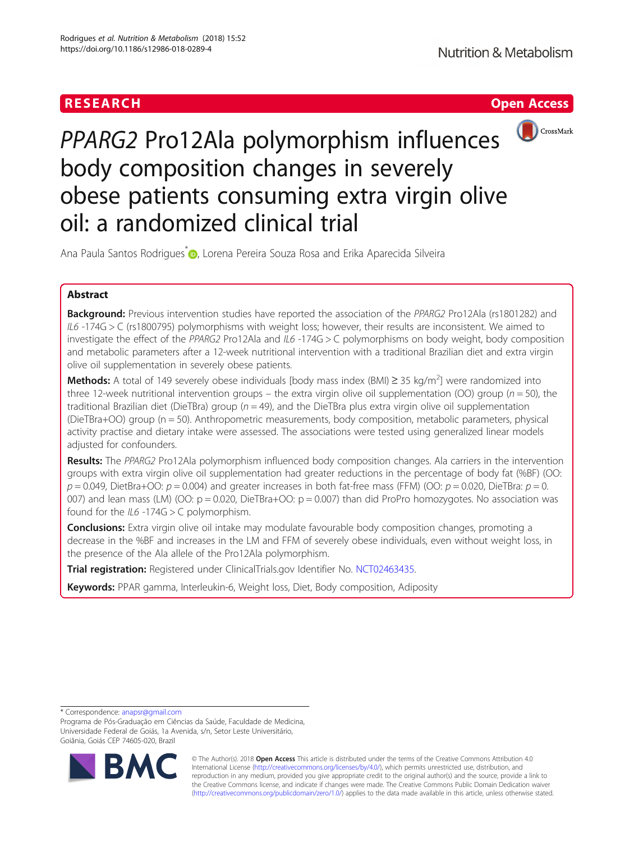



PPARG2 Pro12Ala polymorphism influences body composition changes in severely obese patients consuming extra virgin olive oil: a randomized clinical trial

Ana Paula Santos Rodrigues<sup>\*</sup> <sub>(b)</sub>[,](http://orcid.org/0000-0002-0447-898X) Lorena Pereira Souza Rosa and Erika Aparecida Silveira

# Abstract

**Background:** Previous intervention studies have reported the association of the PPARG2 Pro12Ala (rs1801282) and IL6 -174G > C (rs1800795) polymorphisms with weight loss; however, their results are inconsistent. We aimed to investigate the effect of the PPARG2 Pro12Ala and IL6 -174G > C polymorphisms on body weight, body composition and metabolic parameters after a 12-week nutritional intervention with a traditional Brazilian diet and extra virgin olive oil supplementation in severely obese patients.

Methods: A total of 149 severely obese individuals [body mass index (BMI) ≥ 35 kg/m<sup>2</sup>] were randomized into three 12-week nutritional intervention groups – the extra virgin olive oil supplementation (OO) group ( $n = 50$ ), the traditional Brazilian diet (DieTBra) group ( $n = 49$ ), and the DieTBra plus extra virgin olive oil supplementation (DieTBra+OO) group (n = 50). Anthropometric measurements, body composition, metabolic parameters, physical activity practise and dietary intake were assessed. The associations were tested using generalized linear models adjusted for confounders.

Results: The PPARG2 Pro12Ala polymorphism influenced body composition changes. Ala carriers in the intervention groups with extra virgin olive oil supplementation had greater reductions in the percentage of body fat (%BF) (OO:  $p = 0.049$ , DietBra+OO:  $p = 0.004$ ) and greater increases in both fat-free mass (FFM) (OO:  $p = 0.020$ , DieTBra:  $p = 0$ . 007) and lean mass (LM) (OO:  $p = 0.020$ , DieTBra+OO:  $p = 0.007$ ) than did ProPro homozygotes. No association was found for the  $IL6 - 174G > C$  polymorphism.

**Conclusions:** Extra virgin olive oil intake may modulate favourable body composition changes, promoting a decrease in the %BF and increases in the LM and FFM of severely obese individuals, even without weight loss, in the presence of the Ala allele of the Pro12Ala polymorphism.

Trial registration: Registered under ClinicalTrials.gov Identifier No. [NCT02463435](https://clinicaltrials.gov/ct2/show/NCT02463435?term=NCT02463435&rank=1).

Keywords: PPAR gamma, Interleukin-6, Weight loss, Diet, Body composition, Adiposity

\* Correspondence: [anapsr@gmail.com](mailto:anapsr@gmail.com)

Programa de Pós-Graduação em Ciências da Saúde, Faculdade de Medicina, Universidade Federal de Goiás, 1a Avenida, s/n, Setor Leste Universitário, Goiânia, Goiás CEP 74605-020, Brazil



© The Author(s). 2018 Open Access This article is distributed under the terms of the Creative Commons Attribution 4.0 International License [\(http://creativecommons.org/licenses/by/4.0/](http://creativecommons.org/licenses/by/4.0/)), which permits unrestricted use, distribution, and reproduction in any medium, provided you give appropriate credit to the original author(s) and the source, provide a link to the Creative Commons license, and indicate if changes were made. The Creative Commons Public Domain Dedication waiver [\(http://creativecommons.org/publicdomain/zero/1.0/](http://creativecommons.org/publicdomain/zero/1.0/)) applies to the data made available in this article, unless otherwise stated.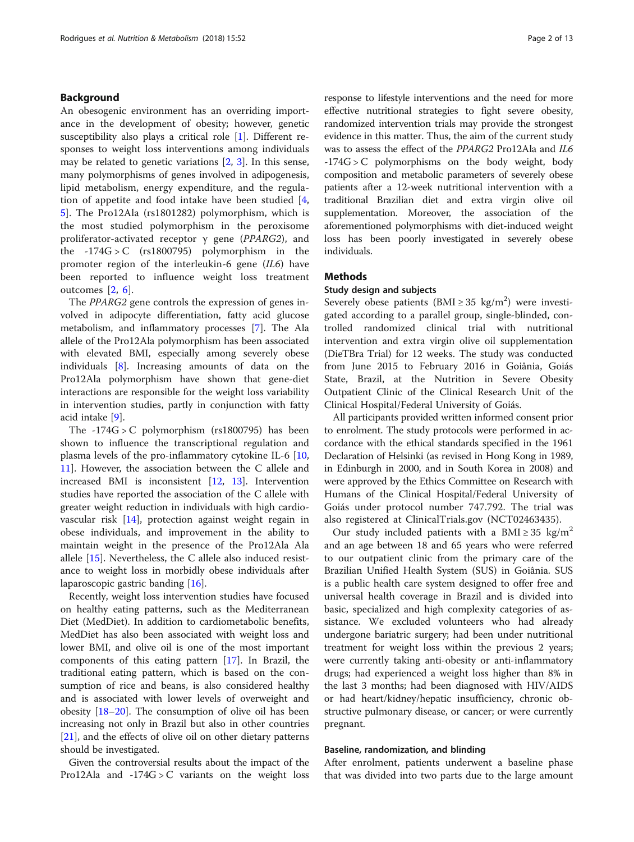# Background

An obesogenic environment has an overriding importance in the development of obesity; however, genetic susceptibility also plays a critical role [\[1](#page-11-0)]. Different responses to weight loss interventions among individuals may be related to genetic variations [[2,](#page-11-0) [3](#page-11-0)]. In this sense, many polymorphisms of genes involved in adipogenesis, lipid metabolism, energy expenditure, and the regulation of appetite and food intake have been studied [\[4](#page-11-0), [5\]](#page-11-0). The Pro12Ala (rs1801282) polymorphism, which is the most studied polymorphism in the peroxisome proliferator-activated receptor  $\gamma$  gene (PPARG2), and the -174G > C (rs1800795) polymorphism in the promoter region of the interleukin-6 gene (IL6) have been reported to influence weight loss treatment outcomes [[2](#page-11-0), [6](#page-11-0)].

The PPARG2 gene controls the expression of genes involved in adipocyte differentiation, fatty acid glucose metabolism, and inflammatory processes [\[7](#page-11-0)]. The Ala allele of the Pro12Ala polymorphism has been associated with elevated BMI, especially among severely obese individuals [\[8\]](#page-11-0). Increasing amounts of data on the Pro12Ala polymorphism have shown that gene-diet interactions are responsible for the weight loss variability in intervention studies, partly in conjunction with fatty acid intake [\[9](#page-11-0)].

The -174G > C polymorphism (rs1800795) has been shown to influence the transcriptional regulation and plasma levels of the pro-inflammatory cytokine IL-6 [[10](#page-11-0), [11\]](#page-11-0). However, the association between the C allele and increased BMI is inconsistent [\[12,](#page-11-0) [13\]](#page-11-0). Intervention studies have reported the association of the C allele with greater weight reduction in individuals with high cardiovascular risk [\[14](#page-11-0)], protection against weight regain in obese individuals, and improvement in the ability to maintain weight in the presence of the Pro12Ala Ala allele [\[15\]](#page-11-0). Nevertheless, the C allele also induced resistance to weight loss in morbidly obese individuals after laparoscopic gastric banding [\[16\]](#page-11-0).

Recently, weight loss intervention studies have focused on healthy eating patterns, such as the Mediterranean Diet (MedDiet). In addition to cardiometabolic benefits, MedDiet has also been associated with weight loss and lower BMI, and olive oil is one of the most important components of this eating pattern [[17\]](#page-11-0). In Brazil, the traditional eating pattern, which is based on the consumption of rice and beans, is also considered healthy and is associated with lower levels of overweight and obesity [\[18](#page-11-0)–[20\]](#page-11-0). The consumption of olive oil has been increasing not only in Brazil but also in other countries [[21\]](#page-11-0), and the effects of olive oil on other dietary patterns should be investigated.

Given the controversial results about the impact of the Pro12Ala and -174G > C variants on the weight loss response to lifestyle interventions and the need for more effective nutritional strategies to fight severe obesity, randomized intervention trials may provide the strongest evidence in this matter. Thus, the aim of the current study was to assess the effect of the PPARG2 Pro12Ala and IL6  $-174G > C$  polymorphisms on the body weight, body composition and metabolic parameters of severely obese patients after a 12-week nutritional intervention with a traditional Brazilian diet and extra virgin olive oil supplementation. Moreover, the association of the aforementioned polymorphisms with diet-induced weight loss has been poorly investigated in severely obese individuals.

# **Methods**

# Study design and subjects

Severely obese patients (BMI ≥ 35 kg/m<sup>2</sup>) were investigated according to a parallel group, single-blinded, controlled randomized clinical trial with nutritional intervention and extra virgin olive oil supplementation (DieTBra Trial) for 12 weeks. The study was conducted from June 2015 to February 2016 in Goiânia, Goiás State, Brazil, at the Nutrition in Severe Obesity Outpatient Clinic of the Clinical Research Unit of the Clinical Hospital/Federal University of Goiás.

All participants provided written informed consent prior to enrolment. The study protocols were performed in accordance with the ethical standards specified in the 1961 Declaration of Helsinki (as revised in Hong Kong in 1989, in Edinburgh in 2000, and in South Korea in 2008) and were approved by the Ethics Committee on Research with Humans of the Clinical Hospital/Federal University of Goiás under protocol number 747.792. The trial was also registered at ClinicalTrials.gov (NCT02463435).

Our study included patients with a BMI ≥ 35 kg/m<sup>2</sup> and an age between 18 and 65 years who were referred to our outpatient clinic from the primary care of the Brazilian Unified Health System (SUS) in Goiânia. SUS is a public health care system designed to offer free and universal health coverage in Brazil and is divided into basic, specialized and high complexity categories of assistance. We excluded volunteers who had already undergone bariatric surgery; had been under nutritional treatment for weight loss within the previous 2 years; were currently taking anti-obesity or anti-inflammatory drugs; had experienced a weight loss higher than 8% in the last 3 months; had been diagnosed with HIV/AIDS or had heart/kidney/hepatic insufficiency, chronic obstructive pulmonary disease, or cancer; or were currently pregnant.

# Baseline, randomization, and blinding

After enrolment, patients underwent a baseline phase that was divided into two parts due to the large amount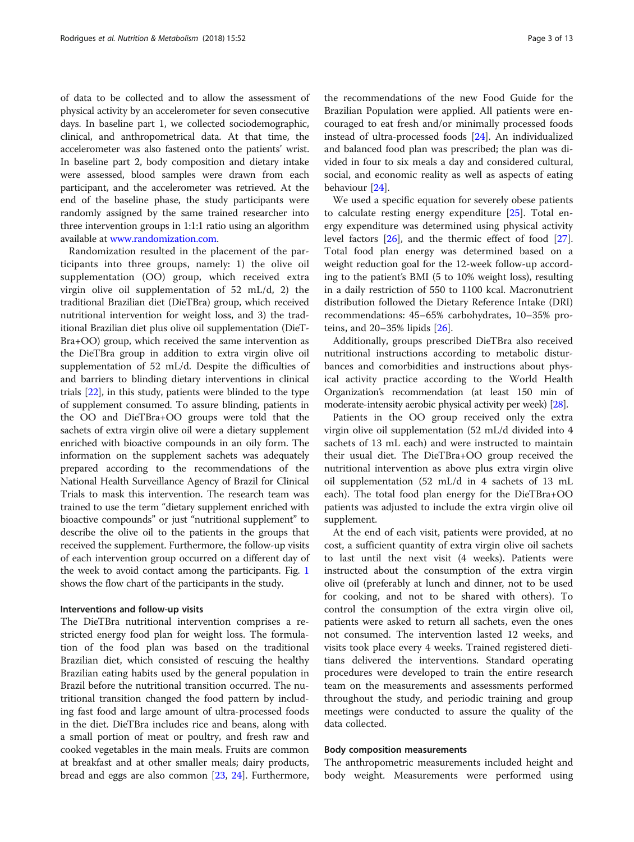of data to be collected and to allow the assessment of physical activity by an accelerometer for seven consecutive days. In baseline part 1, we collected sociodemographic, clinical, and anthropometrical data. At that time, the accelerometer was also fastened onto the patients' wrist. In baseline part 2, body composition and dietary intake were assessed, blood samples were drawn from each participant, and the accelerometer was retrieved. At the end of the baseline phase, the study participants were randomly assigned by the same trained researcher into three intervention groups in 1:1:1 ratio using an algorithm available at [www.randomization.com.](http://www.randomization.com)

Randomization resulted in the placement of the participants into three groups, namely: 1) the olive oil supplementation (OO) group, which received extra virgin olive oil supplementation of 52 mL/d, 2) the traditional Brazilian diet (DieTBra) group, which received nutritional intervention for weight loss, and 3) the traditional Brazilian diet plus olive oil supplementation (DieT-Bra+OO) group, which received the same intervention as the DieTBra group in addition to extra virgin olive oil supplementation of 52 mL/d. Despite the difficulties of and barriers to blinding dietary interventions in clinical trials [[22](#page-11-0)], in this study, patients were blinded to the type of supplement consumed. To assure blinding, patients in the OO and DieTBra+OO groups were told that the sachets of extra virgin olive oil were a dietary supplement enriched with bioactive compounds in an oily form. The information on the supplement sachets was adequately prepared according to the recommendations of the National Health Surveillance Agency of Brazil for Clinical Trials to mask this intervention. The research team was trained to use the term "dietary supplement enriched with bioactive compounds" or just "nutritional supplement" to describe the olive oil to the patients in the groups that received the supplement. Furthermore, the follow-up visits of each intervention group occurred on a different day of the week to avoid contact among the participants. Fig. [1](#page-3-0) shows the flow chart of the participants in the study.

# Interventions and follow-up visits

The DieTBra nutritional intervention comprises a restricted energy food plan for weight loss. The formulation of the food plan was based on the traditional Brazilian diet, which consisted of rescuing the healthy Brazilian eating habits used by the general population in Brazil before the nutritional transition occurred. The nutritional transition changed the food pattern by including fast food and large amount of ultra-processed foods in the diet. DieTBra includes rice and beans, along with a small portion of meat or poultry, and fresh raw and cooked vegetables in the main meals. Fruits are common at breakfast and at other smaller meals; dairy products, bread and eggs are also common [[23,](#page-11-0) [24](#page-11-0)]. Furthermore,

the recommendations of the new Food Guide for the Brazilian Population were applied. All patients were encouraged to eat fresh and/or minimally processed foods instead of ultra-processed foods [\[24\]](#page-11-0). An individualized and balanced food plan was prescribed; the plan was divided in four to six meals a day and considered cultural, social, and economic reality as well as aspects of eating behaviour [\[24\]](#page-11-0).

We used a specific equation for severely obese patients to calculate resting energy expenditure [[25\]](#page-11-0). Total energy expenditure was determined using physical activity level factors [\[26](#page-11-0)], and the thermic effect of food [\[27](#page-11-0)]. Total food plan energy was determined based on a weight reduction goal for the 12-week follow-up according to the patient's BMI (5 to 10% weight loss), resulting in a daily restriction of 550 to 1100 kcal. Macronutrient distribution followed the Dietary Reference Intake (DRI) recommendations: 45–65% carbohydrates, 10–35% proteins, and 20–35% lipids [[26](#page-11-0)].

Additionally, groups prescribed DieTBra also received nutritional instructions according to metabolic disturbances and comorbidities and instructions about physical activity practice according to the World Health Organization's recommendation (at least 150 min of moderate-intensity aerobic physical activity per week) [[28](#page-11-0)].

Patients in the OO group received only the extra virgin olive oil supplementation (52 mL/d divided into 4 sachets of 13 mL each) and were instructed to maintain their usual diet. The DieTBra+OO group received the nutritional intervention as above plus extra virgin olive oil supplementation (52 mL/d in 4 sachets of 13 mL each). The total food plan energy for the DieTBra+OO patients was adjusted to include the extra virgin olive oil supplement.

At the end of each visit, patients were provided, at no cost, a sufficient quantity of extra virgin olive oil sachets to last until the next visit (4 weeks). Patients were instructed about the consumption of the extra virgin olive oil (preferably at lunch and dinner, not to be used for cooking, and not to be shared with others). To control the consumption of the extra virgin olive oil, patients were asked to return all sachets, even the ones not consumed. The intervention lasted 12 weeks, and visits took place every 4 weeks. Trained registered dietitians delivered the interventions. Standard operating procedures were developed to train the entire research team on the measurements and assessments performed throughout the study, and periodic training and group meetings were conducted to assure the quality of the data collected.

# Body composition measurements

The anthropometric measurements included height and body weight. Measurements were performed using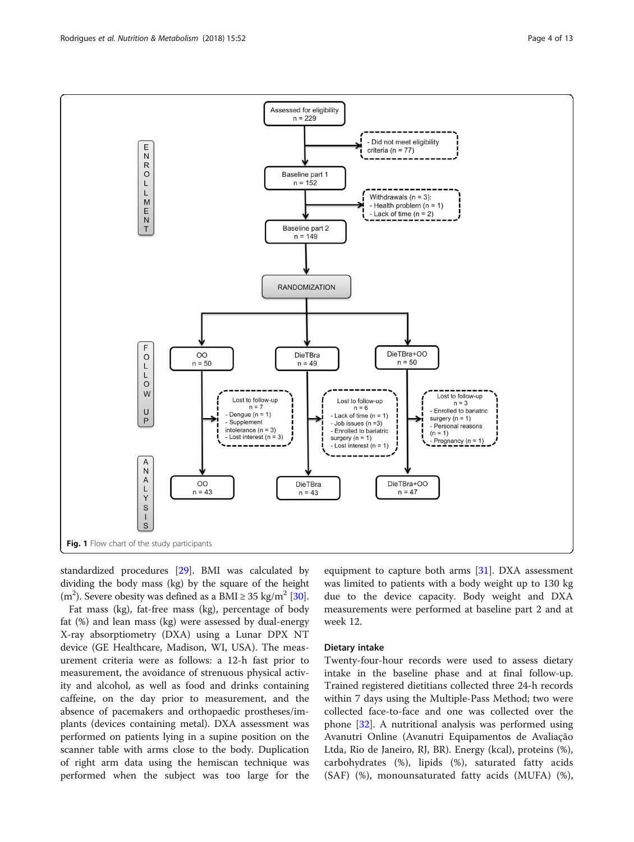<span id="page-3-0"></span>

standardized procedures [[29](#page-11-0)]. BMI was calculated by dividing the body mass (kg) by the square of the height (m<sup>2</sup>). Severe obesity was defined as a BMI  $\ge$  35 kg/m<sup>2</sup> [\[30](#page-11-0)].

Fat mass (kg), fat-free mass (kg), percentage of body fat (%) and lean mass (kg) were assessed by dual-energy X-ray absorptiometry (DXA) using a Lunar DPX NT device (GE Healthcare, Madison, WI, USA). The measurement criteria were as follows: a 12-h fast prior to measurement, the avoidance of strenuous physical activity and alcohol, as well as food and drinks containing caffeine, on the day prior to measurement, and the absence of pacemakers and orthopaedic prostheses/implants (devices containing metal). DXA assessment was performed on patients lying in a supine position on the scanner table with arms close to the body. Duplication of right arm data using the hemiscan technique was performed when the subject was too large for the

equipment to capture both arms  $[31]$  $[31]$  $[31]$ . DXA assessment was limited to patients with a body weight up to 130 kg due to the device capacity. Body weight and DXA measurements were performed at baseline part 2 and at week 12.

# Dietary intake

Twenty-four-hour records were used to assess dietary intake in the baseline phase and at final follow-up. Trained registered dietitians collected three 24-h records within 7 days using the Multiple-Pass Method; two were collected face-to-face and one was collected over the phone [\[32](#page-11-0)]. A nutritional analysis was performed using Avanutri Online (Avanutri Equipamentos de Avaliação Ltda, Rio de Janeiro, RJ, BR). Energy (kcal), proteins (%), carbohydrates (%), lipids (%), saturated fatty acids (SAF) (%), monounsaturated fatty acids (MUFA) (%),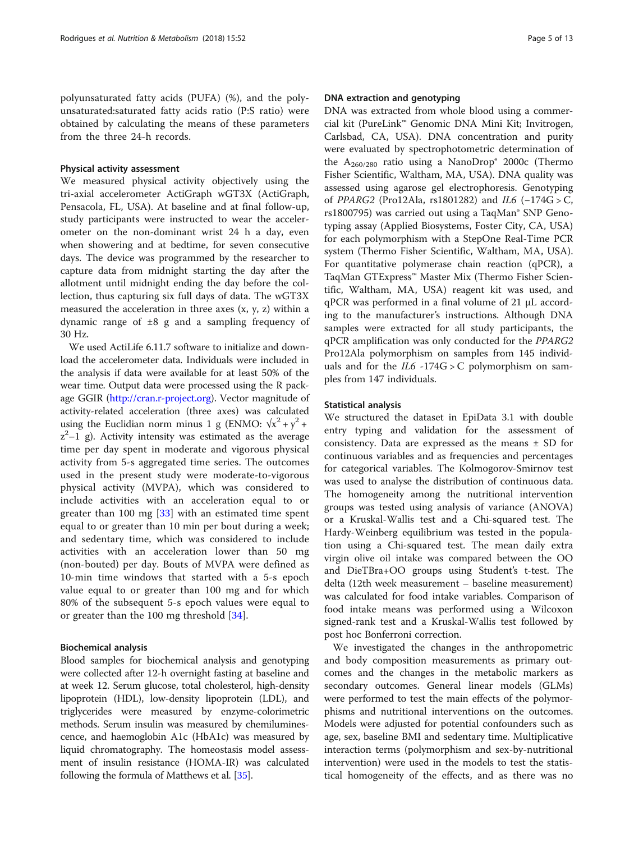polyunsaturated fatty acids (PUFA) (%), and the polyunsaturated:saturated fatty acids ratio (P:S ratio) were obtained by calculating the means of these parameters from the three 24-h records.

# Physical activity assessment

We measured physical activity objectively using the tri-axial accelerometer ActiGraph wGT3X (ActiGraph, Pensacola, FL, USA). At baseline and at final follow-up, study participants were instructed to wear the accelerometer on the non-dominant wrist 24 h a day, even when showering and at bedtime, for seven consecutive days. The device was programmed by the researcher to capture data from midnight starting the day after the allotment until midnight ending the day before the collection, thus capturing six full days of data. The wGT3X measured the acceleration in three axes (x, y, z) within a dynamic range of  $\pm 8$  g and a sampling frequency of 30 Hz.

We used ActiLife 6.11.7 software to initialize and download the accelerometer data. Individuals were included in the analysis if data were available for at least 50% of the wear time. Output data were processed using the R package GGIR [\(http://cran.r-project.org](http://cran.r-project.org)). Vector magnitude of activity-related acceleration (three axes) was calculated using the Euclidian norm minus 1 g (ENMO:  $\sqrt{x^2 + y^2}$  +  $z^2-1$  g). Activity intensity was estimated as the average time per day spent in moderate and vigorous physical activity from 5-s aggregated time series. The outcomes used in the present study were moderate-to-vigorous physical activity (MVPA), which was considered to include activities with an acceleration equal to or greater than 100 mg [[33](#page-11-0)] with an estimated time spent equal to or greater than 10 min per bout during a week; and sedentary time, which was considered to include activities with an acceleration lower than 50 mg (non-bouted) per day. Bouts of MVPA were defined as 10-min time windows that started with a 5-s epoch value equal to or greater than 100 mg and for which 80% of the subsequent 5-s epoch values were equal to or greater than the 100 mg threshold [[34\]](#page-11-0).

# Biochemical analysis

Blood samples for biochemical analysis and genotyping were collected after 12-h overnight fasting at baseline and at week 12. Serum glucose, total cholesterol, high-density lipoprotein (HDL), low-density lipoprotein (LDL), and triglycerides were measured by enzyme-colorimetric methods. Serum insulin was measured by chemiluminescence, and haemoglobin A1c (HbA1c) was measured by liquid chromatography. The homeostasis model assessment of insulin resistance (HOMA-IR) was calculated following the formula of Matthews et al. [[35](#page-11-0)].

# DNA extraction and genotyping

DNA was extracted from whole blood using a commercial kit (PureLink™ Genomic DNA Mini Kit; Invitrogen, Carlsbad, CA, USA). DNA concentration and purity were evaluated by spectrophotometric determination of the  $A_{260/280}$  ratio using a NanoDrop<sup>®</sup> 2000c (Thermo Fisher Scientific, Waltham, MA, USA). DNA quality was assessed using agarose gel electrophoresis. Genotyping of PPARG2 (Pro12Ala, rs1801282) and IL6 (−174G > C, rs1800795) was carried out using a TaqMan® SNP Genotyping assay (Applied Biosystems, Foster City, CA, USA) for each polymorphism with a StepOne Real-Time PCR system (Thermo Fisher Scientific, Waltham, MA, USA). For quantitative polymerase chain reaction (qPCR), a TaqMan GTExpress™ Master Mix (Thermo Fisher Scientific, Waltham, MA, USA) reagent kit was used, and qPCR was performed in a final volume of 21 μL according to the manufacturer's instructions. Although DNA samples were extracted for all study participants, the qPCR amplification was only conducted for the PPARG2 Pro12Ala polymorphism on samples from 145 individuals and for the  $IL6 - 174G > C$  polymorphism on samples from 147 individuals.

# Statistical analysis

We structured the dataset in EpiData 3.1 with double entry typing and validation for the assessment of consistency. Data are expressed as the means  $\pm$  SD for continuous variables and as frequencies and percentages for categorical variables. The Kolmogorov-Smirnov test was used to analyse the distribution of continuous data. The homogeneity among the nutritional intervention groups was tested using analysis of variance (ANOVA) or a Kruskal-Wallis test and a Chi-squared test. The Hardy-Weinberg equilibrium was tested in the population using a Chi-squared test. The mean daily extra virgin olive oil intake was compared between the OO and DieTBra+OO groups using Student's t-test. The delta (12th week measurement – baseline measurement) was calculated for food intake variables. Comparison of food intake means was performed using a Wilcoxon signed-rank test and a Kruskal-Wallis test followed by post hoc Bonferroni correction.

We investigated the changes in the anthropometric and body composition measurements as primary outcomes and the changes in the metabolic markers as secondary outcomes. General linear models (GLMs) were performed to test the main effects of the polymorphisms and nutritional interventions on the outcomes. Models were adjusted for potential confounders such as age, sex, baseline BMI and sedentary time. Multiplicative interaction terms (polymorphism and sex-by-nutritional intervention) were used in the models to test the statistical homogeneity of the effects, and as there was no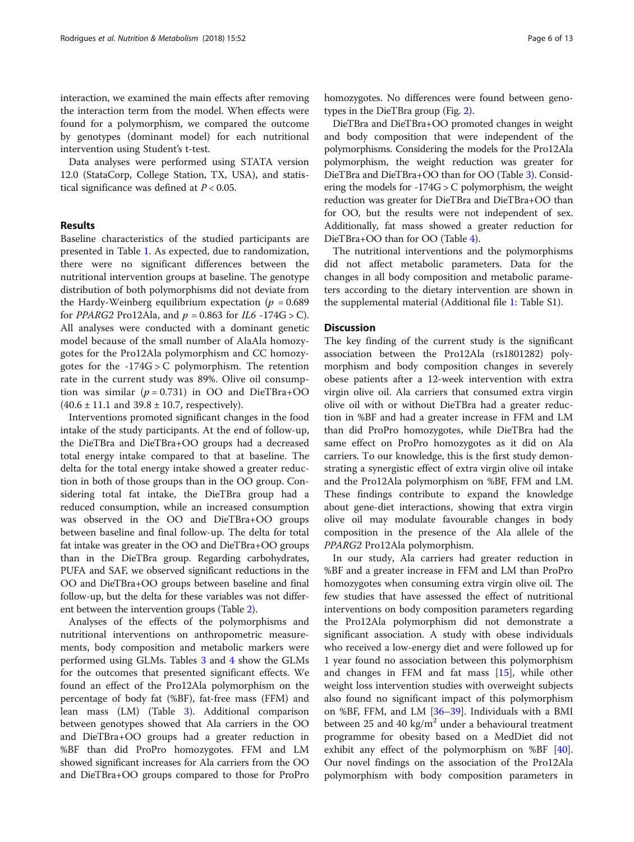interaction, we examined the main effects after removing the interaction term from the model. When effects were found for a polymorphism, we compared the outcome by genotypes (dominant model) for each nutritional intervention using Student's t-test.

Data analyses were performed using STATA version 12.0 (StataCorp, College Station, TX, USA), and statistical significance was defined at  $P < 0.05$ .

# Results

Baseline characteristics of the studied participants are presented in Table [1.](#page-6-0) As expected, due to randomization, there were no significant differences between the nutritional intervention groups at baseline. The genotype distribution of both polymorphisms did not deviate from the Hardy-Weinberg equilibrium expectation ( $p = 0.689$ ) for PPARG2 Pro12Ala, and  $p = 0.863$  for IL6 -174G > C). All analyses were conducted with a dominant genetic model because of the small number of AlaAla homozygotes for the Pro12Ala polymorphism and CC homozygotes for the  $-174G > C$  polymorphism. The retention rate in the current study was 89%. Olive oil consumption was similar ( $p = 0.731$ ) in OO and DieTBra+OO  $(40.6 \pm 11.1 \text{ and } 39.8 \pm 10.7 \text{, respectively}).$ 

Interventions promoted significant changes in the food intake of the study participants. At the end of follow-up, the DieTBra and DieTBra+OO groups had a decreased total energy intake compared to that at baseline. The delta for the total energy intake showed a greater reduction in both of those groups than in the OO group. Considering total fat intake, the DieTBra group had a reduced consumption, while an increased consumption was observed in the OO and DieTBra+OO groups between baseline and final follow-up. The delta for total fat intake was greater in the OO and DieTBra+OO groups than in the DieTBra group. Regarding carbohydrates, PUFA and SAF, we observed significant reductions in the OO and DieTBra+OO groups between baseline and final follow-up, but the delta for these variables was not different between the intervention groups (Table [2\)](#page-7-0).

Analyses of the effects of the polymorphisms and nutritional interventions on anthropometric measurements, body composition and metabolic markers were performed using GLMs. Tables [3](#page-8-0) and [4](#page-9-0) show the GLMs for the outcomes that presented significant effects. We found an effect of the Pro12Ala polymorphism on the percentage of body fat (%BF), fat-free mass (FFM) and lean mass (LM) (Table [3\)](#page-8-0). Additional comparison between genotypes showed that Ala carriers in the OO and DieTBra+OO groups had a greater reduction in %BF than did ProPro homozygotes. FFM and LM showed significant increases for Ala carriers from the OO and DieTBra+OO groups compared to those for ProPro homozygotes. No differences were found between genotypes in the DieTBra group (Fig. [2\)](#page-10-0).

DieTBra and DieTBra+OO promoted changes in weight and body composition that were independent of the polymorphisms. Considering the models for the Pro12Ala polymorphism, the weight reduction was greater for DieTBra and DieTBra+OO than for OO (Table [3](#page-8-0)). Considering the models for  $-174G > C$  polymorphism, the weight reduction was greater for DieTBra and DieTBra+OO than for OO, but the results were not independent of sex. Additionally, fat mass showed a greater reduction for DieTBra+OO than for OO (Table [4](#page-9-0)).

The nutritional interventions and the polymorphisms did not affect metabolic parameters. Data for the changes in all body composition and metabolic parameters according to the dietary intervention are shown in the supplemental material (Additional file [1:](#page-10-0) Table S1).

# **Discussion**

The key finding of the current study is the significant association between the Pro12Ala (rs1801282) polymorphism and body composition changes in severely obese patients after a 12-week intervention with extra virgin olive oil. Ala carriers that consumed extra virgin olive oil with or without DieTBra had a greater reduction in %BF and had a greater increase in FFM and LM than did ProPro homozygotes, while DieTBra had the same effect on ProPro homozygotes as it did on Ala carriers. To our knowledge, this is the first study demonstrating a synergistic effect of extra virgin olive oil intake and the Pro12Ala polymorphism on %BF, FFM and LM. These findings contribute to expand the knowledge about gene-diet interactions, showing that extra virgin olive oil may modulate favourable changes in body composition in the presence of the Ala allele of the PPARG2 Pro12Ala polymorphism.

In our study, Ala carriers had greater reduction in %BF and a greater increase in FFM and LM than ProPro homozygotes when consuming extra virgin olive oil. The few studies that have assessed the effect of nutritional interventions on body composition parameters regarding the Pro12Ala polymorphism did not demonstrate a significant association. A study with obese individuals who received a low-energy diet and were followed up for 1 year found no association between this polymorphism and changes in FFM and fat mass [[15](#page-11-0)], while other weight loss intervention studies with overweight subjects also found no significant impact of this polymorphism on %BF, FFM, and LM [\[36](#page-11-0)–[39\]](#page-11-0). Individuals with a BMI between 25 and 40 kg/m<sup>2</sup> under a behavioural treatment programme for obesity based on a MedDiet did not exhibit any effect of the polymorphism on %BF [\[40](#page-11-0)]. Our novel findings on the association of the Pro12Ala polymorphism with body composition parameters in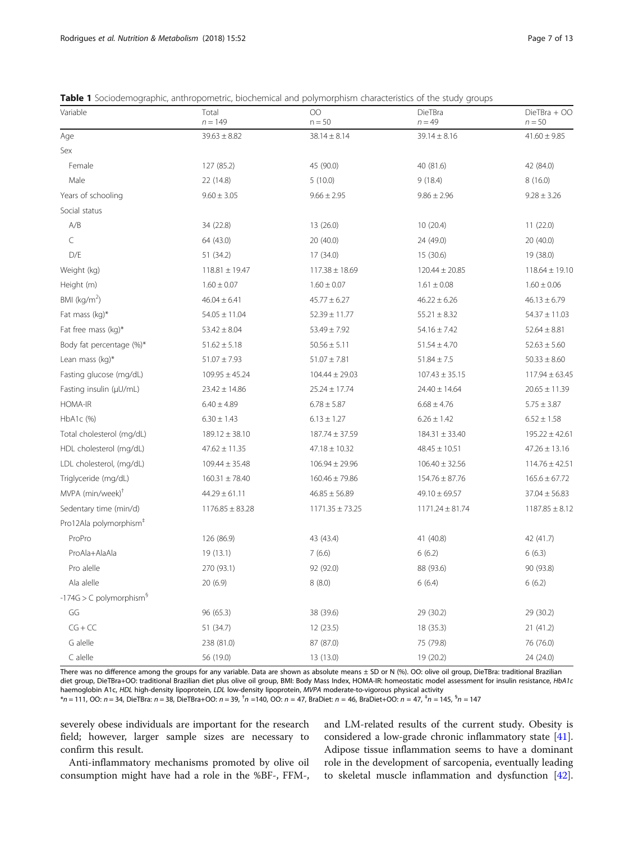| Variable                              | Total<br>$n = 149$  | $\overline{O}O$<br>$n = 50$ | DieTBra<br>$n = 49$ | DieTBra + OO<br>$n = 50$ |
|---------------------------------------|---------------------|-----------------------------|---------------------|--------------------------|
| Age                                   | $39.63 \pm 8.82$    | $38.14 \pm 8.14$            | $39.14 \pm 8.16$    | $41.60 \pm 9.85$         |
| Sex                                   |                     |                             |                     |                          |
| Female                                | 127 (85.2)          | 45 (90.0)                   | 40 (81.6)           | 42 (84.0)                |
| Male                                  | 22 (14.8)           | 5(10.0)                     | 9(18.4)             | 8(16.0)                  |
| Years of schooling                    | $9.60 \pm 3.05$     | $9.66 \pm 2.95$             | $9.86 \pm 2.96$     | $9.28 \pm 3.26$          |
| Social status                         |                     |                             |                     |                          |
| A/B                                   | 34 (22.8)           | 13 (26.0)                   | 10 (20.4)           | 11(22.0)                 |
| C                                     | 64 (43.0)           | 20 (40.0)                   | 24 (49.0)           | 20 (40.0)                |
| D/E                                   | 51 (34.2)           | 17 (34.0)                   | 15 (30.6)           | 19 (38.0)                |
| Weight (kg)                           | $118.81 \pm 19.47$  | $117.38 \pm 18.69$          | $120.44 \pm 20.85$  | $118.64 \pm 19.10$       |
| Height (m)                            | $1.60 \pm 0.07$     | $1.60 \pm 0.07$             | $1.61 \pm 0.08$     | $1.60 \pm 0.06$          |
| BMI $(kg/m2)$                         | $46.04 \pm 6.41$    | $45.77 \pm 6.27$            | $46.22 \pm 6.26$    | $46.13 \pm 6.79$         |
| Fat mass (kg)*                        | $54.05 \pm 11.04$   | $52.39 \pm 11.77$           | $55.21 \pm 8.32$    | $54.37 \pm 11.03$        |
| Fat free mass (kg)*                   | $53.42 \pm 8.04$    | $53.49 \pm 7.92$            | $54.16 \pm 7.42$    | $52.64 \pm 8.81$         |
| Body fat percentage (%)*              | $51.62 \pm 5.18$    | $50.56 \pm 5.11$            | $51.54 \pm 4.70$    | $52.63 \pm 5.60$         |
| Lean mass (kg)*                       | $51.07 \pm 7.93$    | $51.07 \pm 7.81$            | $51.84 \pm 7.5$     | $50.33 \pm 8.60$         |
| Fasting glucose (mg/dL)               | $109.95 \pm 45.24$  | $104.44 \pm 29.03$          | $107.43 \pm 35.15$  | $117.94 \pm 63.45$       |
| Fasting insulin (µU/mL)               | $23.42 \pm 14.86$   | $25.24 \pm 17.74$           | $24.40 \pm 14.64$   | $20.65 \pm 11.39$        |
| HOMA-IR                               | $6.40 \pm 4.89$     | $6.78 \pm 5.87$             | $6.68 \pm 4.76$     | $5.75 \pm 3.87$          |
| HbA1c (%)                             | $6.30 \pm 1.43$     | $6.13 \pm 1.27$             | $6.26 \pm 1.42$     | $6.52 \pm 1.58$          |
| Total cholesterol (mg/dL)             | $189.12 \pm 38.10$  | $187.74 \pm 37.59$          | $184.31 \pm 33.40$  | $195.22 \pm 42.61$       |
| HDL cholesterol (mg/dL)               | $47.62 \pm 11.35$   | $47.18 \pm 10.32$           | $48.45 \pm 10.51$   | $47.26 \pm 13.16$        |
| LDL cholesterol, (mg/dL)              | $109.44 \pm 35.48$  | $106.94 \pm 29.96$          | $106.40 \pm 32.56$  | $114.76 \pm 42.51$       |
| Triglyceride (mg/dL)                  | $160.31 \pm 78.40$  | $160.46 \pm 79.86$          | $154.76 \pm 87.76$  | $165.6 \pm 67.72$        |
| MVPA (min/week) <sup>†</sup>          | $44.29 \pm 61.11$   | $46.85 \pm 56.89$           | $49.10 \pm 69.57$   | $37.04 \pm 56.83$        |
| Sedentary time (min/d)                | $1176.85 \pm 83.28$ | $1171.35 \pm 73.25$         | $1171.24 \pm 81.74$ | $1187.85 \pm 8.12$       |
| Pro12Ala polymorphism <sup>#</sup>    |                     |                             |                     |                          |
| ProPro                                | 126 (86.9)          | 43 (43.4)                   | 41 (40.8)           | 42 (41.7)                |
| ProAla+AlaAla                         | 19(13.1)            | 7(6.6)                      | 6(6.2)              | 6(6.3)                   |
| Pro alelle                            | 270 (93.1)          | 92 (92.0)                   | 88 (93.6)           | 90 (93.8)                |
| Ala alelle                            | 20 (6.9)            | 8(8.0)                      | 6(6.4)              | 6(6.2)                   |
| $-174G > C$ polymorphism <sup>§</sup> |                     |                             |                     |                          |
| GG                                    | 96 (65.3)           | 38 (39.6)                   | 29 (30.2)           | 29 (30.2)                |
| $CG + CC$                             | 51 (34.7)           | 12 (23.5)                   | 18 (35.3)           | 21 (41.2)                |
| G alelle                              | 238 (81.0)          | 87 (87.0)                   | 75 (79.8)           | 76 (76.0)                |
| $C$ alelle                            | 56 (19.0)           | 13 (13.0)                   | 19 (20.2)           | 24 (24.0)                |

<span id="page-6-0"></span>**Table 1** Sociodemographic, anthropometric, biochemical and polymorphism characteristics of the study groups

There was no difference among the groups for any variable. Data are shown as absolute means ± SD or N (%). OO: olive oil group, DieTBra: traditional Brazilian diet group, DieTBra+OO: traditional Brazilian diet plus olive oil group, BMI: Body Mass Index, HOMA-IR: homeostatic model assessment for insulin resistance, HbA1c haemoglobin A1c, HDL high-density lipoprotein, LDL low-density lipoprotein, MVPA moderate-to-vigorous physical activity

 $*$ n = 111, OO: n = 34, DieTBra: n = 38, DieTBra+OO: n = 39,  $^{\dagger}$ n = 140, OO: n = 47, BraDiet: n = 46, BraDiet+OO: n = 47,  $^{\dagger}$ n = 145,  $^{\S}$ n = 147,  $^{\dagger}$ n = 147,  $^{\dagger}$ n = 147,  $^{\dagger}$ n = 147,  $^{\dagger}$ n = 147,

severely obese individuals are important for the research field; however, larger sample sizes are necessary to confirm this result.

Anti-inflammatory mechanisms promoted by olive oil consumption might have had a role in the %BF-, FFM-, and LM-related results of the current study. Obesity is considered a low-grade chronic inflammatory state [\[41](#page-11-0)]. Adipose tissue inflammation seems to have a dominant role in the development of sarcopenia, eventually leading to skeletal muscle inflammation and dysfunction [\[42](#page-12-0)].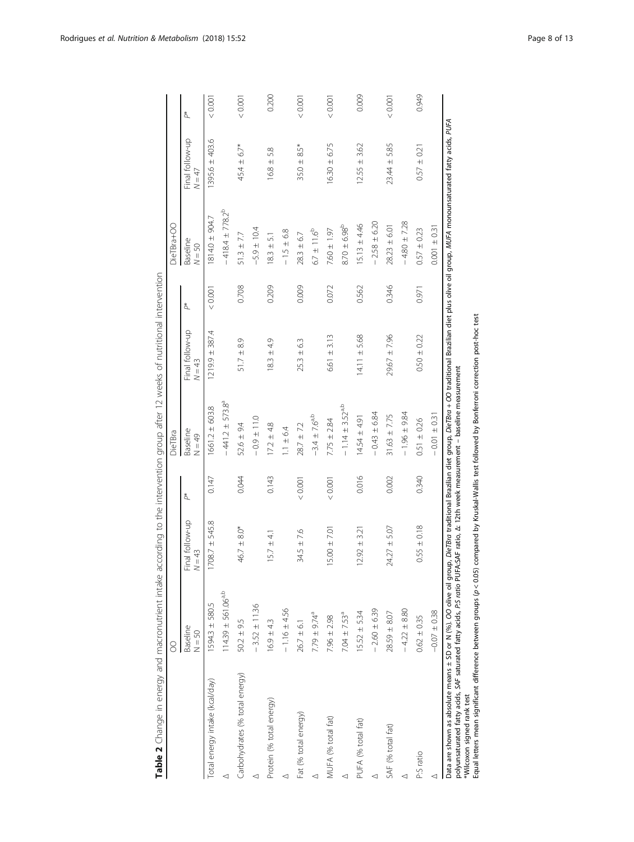<span id="page-7-0"></span>

|                                                                                                                                                                                                                                                                                                                                                                                                                                            | 8                            |                                     |       | DieTBra                                                                         |                             |       | DieTBra+OO             |                             |       |
|--------------------------------------------------------------------------------------------------------------------------------------------------------------------------------------------------------------------------------------------------------------------------------------------------------------------------------------------------------------------------------------------------------------------------------------------|------------------------------|-------------------------------------|-------|---------------------------------------------------------------------------------|-----------------------------|-------|------------------------|-----------------------------|-------|
|                                                                                                                                                                                                                                                                                                                                                                                                                                            | Baseline<br>$N = 50$         | Final follow-up<br>$= 43$<br>$\geq$ | å,    | Baseline<br>$N = 49$                                                            | Final follow-up<br>$N = 43$ | ð.    | Baseline<br>$N = 50$   | Final follow-up<br>$N = 47$ | ð.    |
| Total energy intake (kcal/day)                                                                                                                                                                                                                                                                                                                                                                                                             | 1594.3 ± 580.5               | 708.7 ± 545.8                       | 0.147 | $1661.2 \pm 603.8$                                                              | $1219.9 \pm 387.4$          | 0.001 | 1814.0 ± 904.7         | $1395.6 \pm 403.6$          | 0.001 |
|                                                                                                                                                                                                                                                                                                                                                                                                                                            | $114.39 \pm 561.06^{a,b}$    |                                     |       | $-441.2 \pm 573.8^a$                                                            |                             |       | $-418.4 \pm 778.2^{b}$ |                             |       |
| Carbohydrates (% total energy)                                                                                                                                                                                                                                                                                                                                                                                                             | $50.2 \pm 9.5$               | $46.7 \pm 8.0*$                     | 0.044 | $52.6 \pm 9.4$                                                                  | $51.7 \pm 8.9$              | 0.708 | $51.3 \pm 7.7$         | $45.4 \pm 6.7*$             | 0.001 |
|                                                                                                                                                                                                                                                                                                                                                                                                                                            | $-3.52 \pm 11.36$            |                                     |       | $-0.11 + 0.0$                                                                   |                             |       | $-5.9 \pm 10.4$        |                             |       |
| Protein (% total energy)                                                                                                                                                                                                                                                                                                                                                                                                                   | $16.9 \pm 4.3$               | $15.7 \pm 4.1$                      | 0.143 | $17.2 \pm 4.8$                                                                  | $18.3 \pm 4.9$              | 0.209 | 51<br>$18.3 \pm 1$     | $16.8 \pm 5.8$              | 0.200 |
|                                                                                                                                                                                                                                                                                                                                                                                                                                            | $-1.16 \pm 4.56$             |                                     |       | $1.1 \pm 6.4$                                                                   |                             |       | $-1.5 \pm 6.8$         |                             |       |
| Fat (% total energy)                                                                                                                                                                                                                                                                                                                                                                                                                       | $26.7 \pm 6.1$               | $34.5 \pm 7.6$                      | 0.001 | $28.7 \pm 7.2$                                                                  | $25.3 \pm 6.3$              | 0.009 | $283 \pm 6.7$          | $35.0 \pm 8.5*$             | 0.001 |
|                                                                                                                                                                                                                                                                                                                                                                                                                                            | $7.79 \pm 9.74^{\circ}$      |                                     |       | $-3.4 \pm 7.6^{a,b}$                                                            |                             |       | $6.7 \pm 11.6^{b}$     |                             |       |
| MUFA (% total fat)                                                                                                                                                                                                                                                                                                                                                                                                                         | $7.96 \pm 2.98$              | $5.00 \pm 7.01$                     | 0.001 | $7.75 \pm 2.84$                                                                 | $6.61 \pm 3.13$             | 0.072 | $7.60 \pm 1.97$        | $16.30 \pm 6.75$            | 0.001 |
|                                                                                                                                                                                                                                                                                                                                                                                                                                            | $7.04 \pm 7.53$ <sup>a</sup> |                                     |       | $-1.14 \pm 3.52$ <sup>a,b</sup>                                                 |                             |       | $8.70 \pm 6.98^{b}$    |                             |       |
| PUFA (% total fat)                                                                                                                                                                                                                                                                                                                                                                                                                         | $15.52 \pm 5.34$             | $2.92 \pm 3.21$                     | 0.016 | $14.54 \pm 4.91$                                                                | $14.11 \pm 5.68$            | 0.562 | $15.13 \pm 4.46$       | $12.55 \pm 3.62$            | 0.009 |
|                                                                                                                                                                                                                                                                                                                                                                                                                                            | $-2.60 \pm 6.39$             |                                     |       | $-0.43 \pm 6.84$                                                                |                             |       | $-2.58 \pm 6.20$       |                             |       |
| SAF (% total fat)                                                                                                                                                                                                                                                                                                                                                                                                                          | $28.59 \pm 8.07$             | $24.27 \pm 5.07$                    | 0.002 | $31.63 \pm 7.75$                                                                | $29.67 + 7.96$              | 0.346 | $28.23 \pm 6.01$       | $23.44 \pm 5.85$            | 10000 |
| ⊲                                                                                                                                                                                                                                                                                                                                                                                                                                          | $-4.22 \pm 8.80$             |                                     |       | $-1.96 \pm 9.84$                                                                |                             |       | $-4.80 \pm 7.28$       |                             |       |
| P:S ratio                                                                                                                                                                                                                                                                                                                                                                                                                                  | $0.62 \pm 0.35$              | $0.55 \pm 0.18$                     | 0.340 | $0.51 \pm 0.26$                                                                 | $0.50 \pm 0.22$             | 0.971 | $0.57 \pm 0.23$        | $0.57 \pm 0.21$             | 0.949 |
|                                                                                                                                                                                                                                                                                                                                                                                                                                            | $-0.07 \pm 0.38$             |                                     |       | $-0.01 \pm 0.31$                                                                |                             |       | $0.001 \pm 0.31$       |                             |       |
| Data are shown as absolute means ± SD or N (%). Oo olive oil group, DieTBro traditional Brazilian diet prove divaled alive oil diet plus olive oil group, MUFA monounsaturated fatty acids, PUFA<br>polyunsaturated fatty acids, SAF saturated fatty acids, P:S ratio PUFA:SAF ratio, A: 12th week measurement - baseline measurement<br>Equal letters mean significant difference between groups (p < 0.05)<br>*Wilcoxon signed rank test |                              |                                     |       | compared by Kruskal-Wallis test followed by Bonferroni correction post-hoc test |                             |       |                        |                             |       |

Table 2 Change in energy and macronutrient intake according to the intervention group after 12 weeks of nutritional intervention Table 2 Change in energy and macronutrient intake according to the intervention group after 12 weeks of nutritional intervention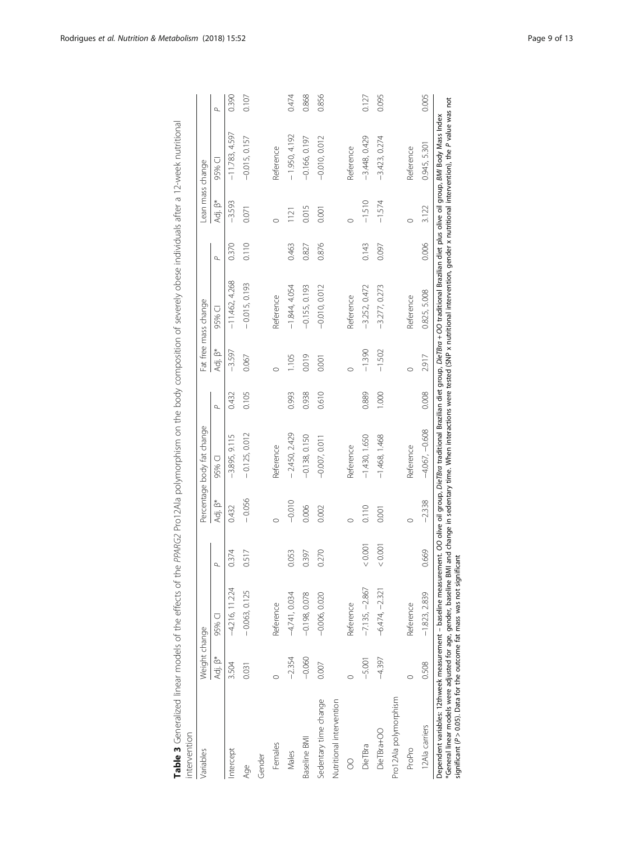<span id="page-8-0"></span>

| 0.945, 5.301<br>Reference<br>Reference<br>Reference<br>95% Cl<br>Adj. B*<br>$-3.593$<br>$-1.510$<br>$-1.574$<br>0.015<br>3.122<br>0.071<br>0.001<br>121<br>Ó<br>$\circ$<br>C<br>0.110<br>0.006<br>0.876<br>0.370<br>0.463<br>0.143<br>0.827<br>0.097<br>$\sigma$<br>$-11.462, 4.268$<br>$-0.015, 0.193$<br>$-1.844, 4.054$<br>$-0.010, 0.012$<br>$-3.252, 0.472$<br>$-0.155, 0.193$<br>$-3.277, 0.273$<br>0.825, 5.008<br>Reference<br>Reference<br>Reference<br>95% CI<br>Adj. B*<br>$-1.390$<br>$-1.502$<br>$-3.597$<br>0.019<br>2.917<br>0.067<br>105<br>0.001<br>c<br>C<br>0.610<br>0.889<br>0.008<br>0.432<br>0.105<br>0.993<br>0.938<br>1.000<br>$\Delta$<br>$-4.067, -0.608$<br>$-0.125, 0.012$<br>$-2.450, 2.429$<br>$-3.895, 9.115$<br>$-0.138, 0.150$<br>$-1.430, 1.650$<br>$-1.468, 1.468$<br>$-0.007,0.011$<br>Reference<br>Reference<br>Reference<br>95% Cl<br>$-0.056$<br>$-2.338$<br>Adj. B*<br>$-0.010$<br>0.432<br>0.006<br>0.110<br>0.002<br>0.001<br>C<br>< 0.001<br>0.001<br>0.374<br>0.517<br>0.669<br>0.053<br>0.270<br>0.397<br>$-7.135, -2.867$<br>$-4.216, 11.224$<br>$-6.474, -2.321$<br>$-0.063, 0.125$<br>$-1.823, 2.839$<br>$-4.741,0.034$<br>$-0.198, 0.078$<br>$-0.006, 0.020$<br>Reference<br>Reference<br>Reference<br>95% CI<br>Adj. B*<br>$-2.354$<br>$-0.060$<br>$-4.397$<br>$-5.001$<br>0.508<br>3.504<br>0.007<br>0.031<br>$\circ$<br>Pro12Ala polymorphism<br>Sedentary time change<br>Nutritional intervention<br>12Ala carriers<br>DieTBra+OO<br>Baseline BMI<br>Females<br>DieTBra<br>ProPro<br>Intercept<br>Males<br>Gender<br>8<br>Age | Variables | Weight change |  | Percentage body fat change |  | Fat free mass change | Lean mass change |                  |          |
|------------------------------------------------------------------------------------------------------------------------------------------------------------------------------------------------------------------------------------------------------------------------------------------------------------------------------------------------------------------------------------------------------------------------------------------------------------------------------------------------------------------------------------------------------------------------------------------------------------------------------------------------------------------------------------------------------------------------------------------------------------------------------------------------------------------------------------------------------------------------------------------------------------------------------------------------------------------------------------------------------------------------------------------------------------------------------------------------------------------------------------------------------------------------------------------------------------------------------------------------------------------------------------------------------------------------------------------------------------------------------------------------------------------------------------------------------------------------------------------------------------------------------------------------------------------------------------|-----------|---------------|--|----------------------------|--|----------------------|------------------|------------------|----------|
|                                                                                                                                                                                                                                                                                                                                                                                                                                                                                                                                                                                                                                                                                                                                                                                                                                                                                                                                                                                                                                                                                                                                                                                                                                                                                                                                                                                                                                                                                                                                                                                    |           |               |  |                            |  |                      |                  |                  | $\sigma$ |
|                                                                                                                                                                                                                                                                                                                                                                                                                                                                                                                                                                                                                                                                                                                                                                                                                                                                                                                                                                                                                                                                                                                                                                                                                                                                                                                                                                                                                                                                                                                                                                                    |           |               |  |                            |  |                      |                  | $-11.783, 4.597$ | 0.390    |
|                                                                                                                                                                                                                                                                                                                                                                                                                                                                                                                                                                                                                                                                                                                                                                                                                                                                                                                                                                                                                                                                                                                                                                                                                                                                                                                                                                                                                                                                                                                                                                                    |           |               |  |                            |  |                      |                  | $-0.015, 0.157$  | 0.107    |
|                                                                                                                                                                                                                                                                                                                                                                                                                                                                                                                                                                                                                                                                                                                                                                                                                                                                                                                                                                                                                                                                                                                                                                                                                                                                                                                                                                                                                                                                                                                                                                                    |           |               |  |                            |  |                      |                  |                  |          |
|                                                                                                                                                                                                                                                                                                                                                                                                                                                                                                                                                                                                                                                                                                                                                                                                                                                                                                                                                                                                                                                                                                                                                                                                                                                                                                                                                                                                                                                                                                                                                                                    |           |               |  |                            |  |                      |                  |                  |          |
|                                                                                                                                                                                                                                                                                                                                                                                                                                                                                                                                                                                                                                                                                                                                                                                                                                                                                                                                                                                                                                                                                                                                                                                                                                                                                                                                                                                                                                                                                                                                                                                    |           |               |  |                            |  |                      |                  | $-1.950, 4.192$  | 0.474    |
|                                                                                                                                                                                                                                                                                                                                                                                                                                                                                                                                                                                                                                                                                                                                                                                                                                                                                                                                                                                                                                                                                                                                                                                                                                                                                                                                                                                                                                                                                                                                                                                    |           |               |  |                            |  |                      |                  | $-0.166, 0.197$  | 0.868    |
|                                                                                                                                                                                                                                                                                                                                                                                                                                                                                                                                                                                                                                                                                                                                                                                                                                                                                                                                                                                                                                                                                                                                                                                                                                                                                                                                                                                                                                                                                                                                                                                    |           |               |  |                            |  |                      |                  | $-0.010, 0.012$  | 0.856    |
|                                                                                                                                                                                                                                                                                                                                                                                                                                                                                                                                                                                                                                                                                                                                                                                                                                                                                                                                                                                                                                                                                                                                                                                                                                                                                                                                                                                                                                                                                                                                                                                    |           |               |  |                            |  |                      |                  |                  |          |
|                                                                                                                                                                                                                                                                                                                                                                                                                                                                                                                                                                                                                                                                                                                                                                                                                                                                                                                                                                                                                                                                                                                                                                                                                                                                                                                                                                                                                                                                                                                                                                                    |           |               |  |                            |  |                      |                  |                  |          |
|                                                                                                                                                                                                                                                                                                                                                                                                                                                                                                                                                                                                                                                                                                                                                                                                                                                                                                                                                                                                                                                                                                                                                                                                                                                                                                                                                                                                                                                                                                                                                                                    |           |               |  |                            |  |                      |                  | $-3.448, 0.429$  | 0.127    |
|                                                                                                                                                                                                                                                                                                                                                                                                                                                                                                                                                                                                                                                                                                                                                                                                                                                                                                                                                                                                                                                                                                                                                                                                                                                                                                                                                                                                                                                                                                                                                                                    |           |               |  |                            |  |                      |                  | $-3.423, 0.274$  | 0.095    |
|                                                                                                                                                                                                                                                                                                                                                                                                                                                                                                                                                                                                                                                                                                                                                                                                                                                                                                                                                                                                                                                                                                                                                                                                                                                                                                                                                                                                                                                                                                                                                                                    |           |               |  |                            |  |                      |                  |                  |          |
|                                                                                                                                                                                                                                                                                                                                                                                                                                                                                                                                                                                                                                                                                                                                                                                                                                                                                                                                                                                                                                                                                                                                                                                                                                                                                                                                                                                                                                                                                                                                                                                    |           |               |  |                            |  |                      |                  |                  |          |
|                                                                                                                                                                                                                                                                                                                                                                                                                                                                                                                                                                                                                                                                                                                                                                                                                                                                                                                                                                                                                                                                                                                                                                                                                                                                                                                                                                                                                                                                                                                                                                                    |           |               |  |                            |  |                      |                  |                  | 0.005    |

Table 3 Generalized linear models of the effects of the PPARG2 Pro12Ala polymorphism on the body composition of severely obese individuals after a 12-week nutritional Table 3 Generalized linear models of the effects of the PPARG2 Pro12Ala polymorphism on the body composition of severely obese individuals after a 12-week nutritional Dependent variables: 12thweek measurement – baseline measurement.<br>\*General linear models were adjusted for age, gender, baseline BMI and<br>significant (P > 0.05). Data for the outcome fat mass was not significant significant (P > 0.05). Data for the outcome fat mass was not significant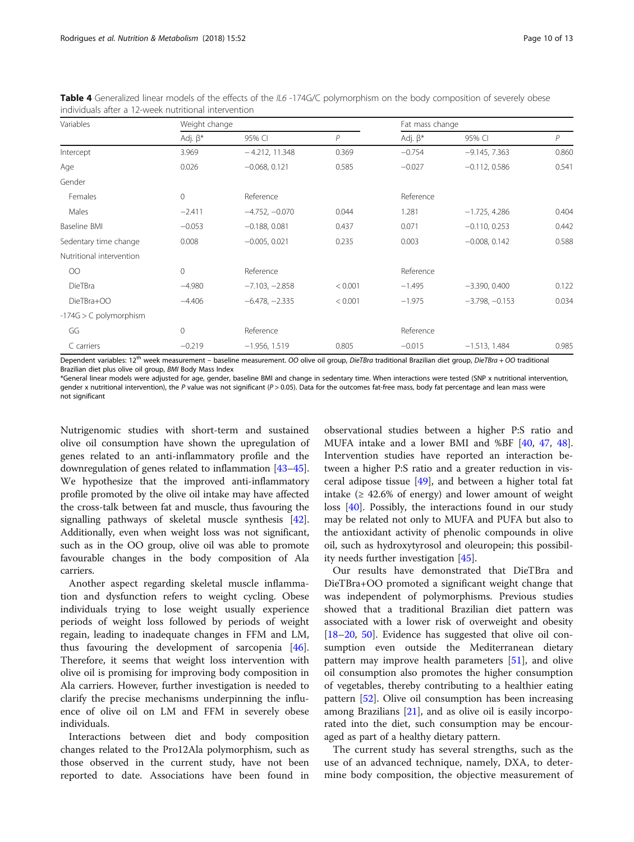| Variables                | Weight change  |                  |                | Fat mass change |                  |       |
|--------------------------|----------------|------------------|----------------|-----------------|------------------|-------|
|                          | Adj. $\beta^*$ | 95% CI           | $\overline{P}$ | Adj. $\beta^*$  | 95% CI           | P     |
| Intercept                | 3.969          | $-4.212, 11.348$ | 0.369          | $-0.754$        | $-9.145, 7.363$  | 0.860 |
| Age                      | 0.026          | $-0.068, 0.121$  | 0.585          | $-0.027$        | $-0.112, 0.586$  | 0.541 |
| Gender                   |                |                  |                |                 |                  |       |
| Females                  | $\mathbf{0}$   | Reference        |                | Reference       |                  |       |
| Males                    | $-2.411$       | $-4.752, -0.070$ | 0.044          | 1.281           | $-1.725, 4.286$  | 0.404 |
| Baseline BMI             | $-0.053$       | $-0.188, 0.081$  | 0.437          | 0.071           | $-0.110, 0.253$  | 0.442 |
| Sedentary time change    | 0.008          | $-0.005, 0.021$  | 0.235          | 0.003           | $-0.008, 0.142$  | 0.588 |
| Nutritional intervention |                |                  |                |                 |                  |       |
| $\overline{O}O$          | $\Omega$       | Reference        |                | Reference       |                  |       |
| DieTBra                  | $-4.980$       | $-7.103, -2.858$ | < 0.001        | $-1.495$        | $-3.390, 0.400$  | 0.122 |
| DieTBra+OO               | $-4.406$       | $-6.478, -2.335$ | < 0.001        | $-1.975$        | $-3.798, -0.153$ | 0.034 |
| $-174G > C$ polymorphism |                |                  |                |                 |                  |       |
| GG                       | $\circ$        | Reference        |                | Reference       |                  |       |
| C carriers               | $-0.219$       | $-1.956, 1.519$  | 0.805          | $-0.015$        | $-1.513, 1.484$  | 0.985 |

<span id="page-9-0"></span>Table 4 Generalized linear models of the effects of the IL6 -174G/C polymorphism on the body composition of severely obese individuals after a 12-week nutritional intervention

Dependent variables: 12<sup>th</sup> week measurement – baseline measurement. OO olive oil group, DieTBra traditional Brazilian diet group, DieTBra + OO traditional Brazilian diet plus olive oil group, BMI Body Mass Index

\*General linear models were adjusted for age, gender, baseline BMI and change in sedentary time. When interactions were tested (SNP x nutritional intervention, gender x nutritional intervention), the P value was not significant ( $P > 0.05$ ). Data for the outcomes fat-free mass, body fat percentage and lean mass were not significant

Nutrigenomic studies with short-term and sustained olive oil consumption have shown the upregulation of genes related to an anti-inflammatory profile and the downregulation of genes related to inflammation [\[43](#page-12-0)–[45](#page-12-0)]. We hypothesize that the improved anti-inflammatory profile promoted by the olive oil intake may have affected the cross-talk between fat and muscle, thus favouring the signalling pathways of skeletal muscle synthesis [[42](#page-12-0)]. Additionally, even when weight loss was not significant, such as in the OO group, olive oil was able to promote favourable changes in the body composition of Ala carriers.

Another aspect regarding skeletal muscle inflammation and dysfunction refers to weight cycling. Obese individuals trying to lose weight usually experience periods of weight loss followed by periods of weight regain, leading to inadequate changes in FFM and LM, thus favouring the development of sarcopenia [\[46](#page-12-0)]. Therefore, it seems that weight loss intervention with olive oil is promising for improving body composition in Ala carriers. However, further investigation is needed to clarify the precise mechanisms underpinning the influence of olive oil on LM and FFM in severely obese individuals.

Interactions between diet and body composition changes related to the Pro12Ala polymorphism, such as those observed in the current study, have not been reported to date. Associations have been found in

observational studies between a higher P:S ratio and MUFA intake and a lower BMI and %BF [\[40](#page-11-0), [47,](#page-12-0) [48](#page-12-0)]. Intervention studies have reported an interaction between a higher P:S ratio and a greater reduction in visceral adipose tissue [\[49](#page-12-0)], and between a higher total fat intake  $(≥ 42.6%$  of energy) and lower amount of weight loss [[40](#page-11-0)]. Possibly, the interactions found in our study may be related not only to MUFA and PUFA but also to the antioxidant activity of phenolic compounds in olive oil, such as hydroxytyrosol and oleuropein; this possibility needs further investigation [\[45\]](#page-12-0).

Our results have demonstrated that DieTBra and DieTBra+OO promoted a significant weight change that was independent of polymorphisms. Previous studies showed that a traditional Brazilian diet pattern was associated with a lower risk of overweight and obesity [[18](#page-11-0)–[20](#page-11-0), [50\]](#page-12-0). Evidence has suggested that olive oil consumption even outside the Mediterranean dietary pattern may improve health parameters [\[51](#page-12-0)], and olive oil consumption also promotes the higher consumption of vegetables, thereby contributing to a healthier eating pattern [\[52\]](#page-12-0). Olive oil consumption has been increasing among Brazilians [\[21](#page-11-0)], and as olive oil is easily incorporated into the diet, such consumption may be encouraged as part of a healthy dietary pattern.

The current study has several strengths, such as the use of an advanced technique, namely, DXA, to determine body composition, the objective measurement of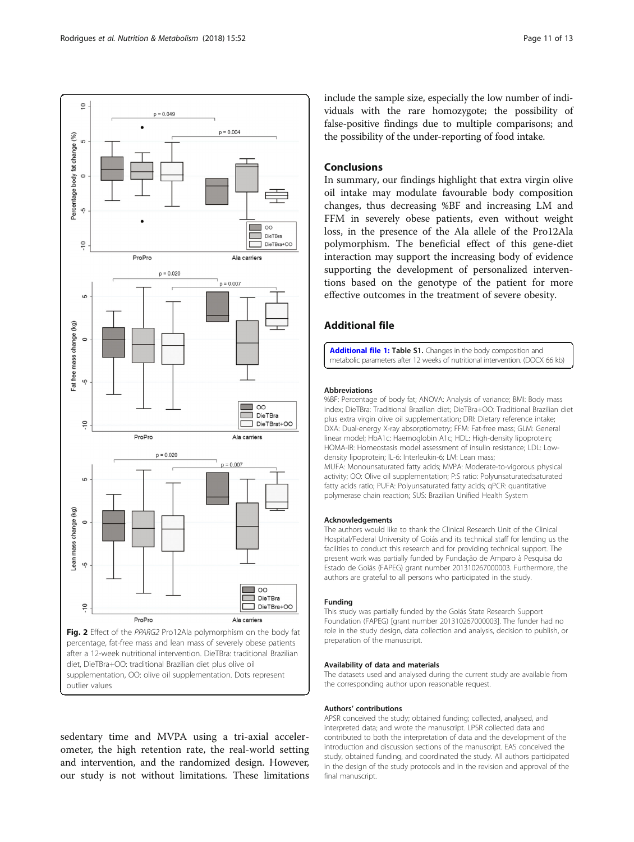<span id="page-10-0"></span>

after a 12-week nutritional intervention. DieTBra: traditional Brazilian diet, DieTBra+OO: traditional Brazilian diet plus olive oil supplementation, OO: olive oil supplementation. Dots represent outlier values

sedentary time and MVPA using a tri-axial accelerometer, the high retention rate, the real-world setting and intervention, and the randomized design. However, our study is not without limitations. These limitations

include the sample size, especially the low number of individuals with the rare homozygote; the possibility of false-positive findings due to multiple comparisons; and the possibility of the under-reporting of food intake.

# **Conclusions**

In summary, our findings highlight that extra virgin olive oil intake may modulate favourable body composition changes, thus decreasing %BF and increasing LM and FFM in severely obese patients, even without weight loss, in the presence of the Ala allele of the Pro12Ala polymorphism. The beneficial effect of this gene-diet interaction may support the increasing body of evidence supporting the development of personalized interventions based on the genotype of the patient for more effective outcomes in the treatment of severe obesity.

# Additional file

[Additional file 1:](https://doi.org/10.1186/s12986-018-0289-4) Table S1. Changes in the body composition and metabolic parameters after 12 weeks of nutritional intervention. (DOCX 66 kb)

# Abbreviations

%BF: Percentage of body fat; ANOVA: Analysis of variance; BMI: Body mass index; DieTBra: Traditional Brazilian diet; DieTBra+OO: Traditional Brazilian diet plus extra virgin olive oil supplementation; DRI: Dietary reference intake; DXA: Dual-energy X-ray absorptiometry; FFM: Fat-free mass; GLM: General linear model; HbA1c: Haemoglobin A1c; HDL: High-density lipoprotein; HOMA-IR: Homeostasis model assessment of insulin resistance; LDL: Lowdensity lipoprotein; lL-6: Interleukin-6; LM: Lean mass; MUFA: Monounsaturated fatty acids; MVPA: Moderate-to-vigorous physical activity; OO: Olive oil supplementation; P:S ratio: Polyunsaturated:saturated fatty acids ratio; PUFA: Polyunsaturated fatty acids; qPCR: quantitative polymerase chain reaction; SUS: Brazilian Unified Health System

### Acknowledgements

The authors would like to thank the Clinical Research Unit of the Clinical Hospital/Federal University of Goiás and its technical staff for lending us the facilities to conduct this research and for providing technical support. The present work was partially funded by Fundação de Amparo à Pesquisa do Estado de Goiás (FAPEG) grant number 201310267000003. Furthermore, the authors are grateful to all persons who participated in the study.

# Funding

This study was partially funded by the Goiás State Research Support Foundation (FAPEG) [grant number 201310267000003]. The funder had no role in the study design, data collection and analysis, decision to publish, or preparation of the manuscript.

### Availability of data and materials

The datasets used and analysed during the current study are available from the corresponding author upon reasonable request.

### Authors' contributions

APSR conceived the study; obtained funding; collected, analysed, and interpreted data; and wrote the manuscript. LPSR collected data and contributed to both the interpretation of data and the development of the introduction and discussion sections of the manuscript. EAS conceived the study, obtained funding, and coordinated the study. All authors participated in the design of the study protocols and in the revision and approval of the final manuscript.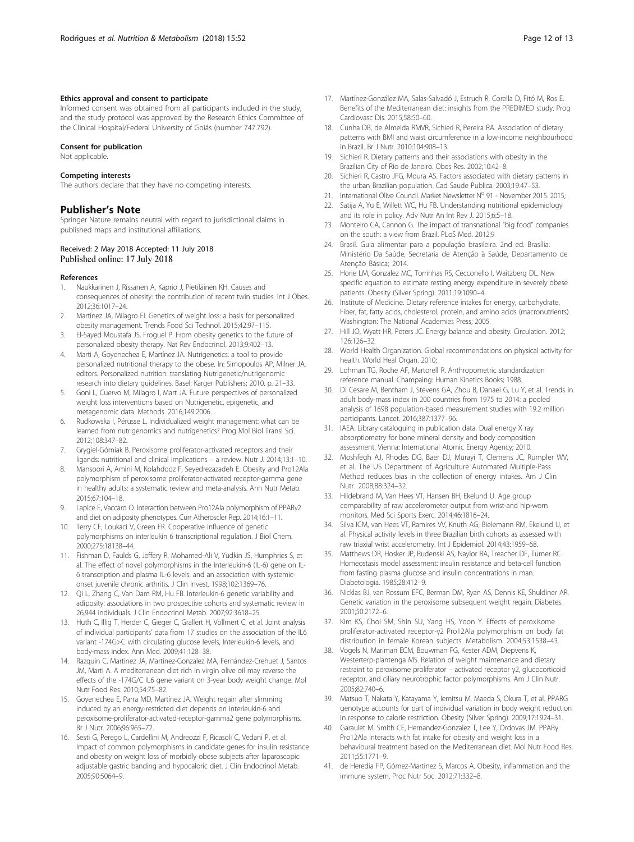# <span id="page-11-0"></span>Ethics approval and consent to participate

Informed consent was obtained from all participants included in the study, and the study protocol was approved by the Research Ethics Committee of the Clinical Hospital/Federal University of Goiás (number 747.792).

### Consent for publication

Not applicable.

#### Competing interests

The authors declare that they have no competing interests.

### Publisher's Note

Springer Nature remains neutral with regard to jurisdictional claims in published maps and institutional affiliations.

### Received: 2 May 2018 Accepted: 11 July 2018 Published online: 17 July 2018

### References

- 1. Naukkarinen J, Rissanen A, Kaprio J, Pietiläinen KH. Causes and consequences of obesity: the contribution of recent twin studies. Int J Obes. 2012;36:1017–24.
- 2. Martínez JA, Milagro FI. Genetics of weight loss: a basis for personalized obesity management. Trends Food Sci Technol. 2015;42:97–115.
- 3. El-Sayed Moustafa JS, Froguel P. From obesity genetics to the future of personalized obesity therapy. Nat Rev Endocrinol. 2013;9:402–13.
- 4. Marti A, Goyenechea E, Martínez JA. Nutrigenetics: a tool to provide personalized nutritional therapy to the obese. In: Simopoulos AP, Milner JA, editors. Personalized nutrition: translating Nutrigenetic/nutrigenomic research into dietary guidelines. Basel: Karger Publishers; 2010. p. 21–33.
- 5. Goni L, Cuervo M, Milagro I, Mart JA. Future perspectives of personalized weight loss interventions based on Nutrigenetic, epigenetic, and metagenomic data. Methods. 2016;149:2006.
- 6. Rudkowska I, Pérusse L. Individualized weight management: what can be learned from nutrigenomics and nutrigenetics? Prog Mol Biol Transl Sci. 2012;108:347–82.
- 7. Grygiel-Górniak B. Peroxisome proliferator-activated receptors and their ligands: nutritional and clinical implications – a review. Nutr J. 2014;13:1–10.
- 8. Mansoori A, Amini M, Kolahdooz F, Seyedrezazadeh E. Obesity and Pro12Ala polymorphism of peroxisome proliferator-activated receptor-gamma gene in healthy adults: a systematic review and meta-analysis. Ann Nutr Metab. 2015;67:104–18.
- 9. Lapice E, Vaccaro O. Interaction between Pro12Ala polymorphism of PPARγ2 and diet on adiposity phenotypes. Curr Atheroscler Rep. 2014;16:1–11.
- 10. Terry CF, Loukaci V, Green FR. Cooperative influence of genetic polymorphisms on interleukin 6 transcriptional regulation. J Biol Chem. 2000;275:18138–44.
- 11. Fishman D, Faulds G, Jeffery R, Mohamed-Ali V, Yudkin JS, Humphries S, et al. The effect of novel polymorphisms in the Interleukin-6 (IL-6) gene on IL-6 transcription and plasma IL-6 levels, and an association with systemiconset juvenile chronic arthritis. J Clin Invest. 1998;102:1369–76.
- 12. Qi L, Zhang C, Van Dam RM, Hu FB. Interleukin-6 genetic variability and adiposity: associations in two prospective cohorts and systematic review in 26,944 individuals. J Clin Endocrinol Metab. 2007;92:3618–25.
- 13. Huth C, Illig T, Herder C, Gieger C, Grallert H, Vollmert C, et al. Joint analysis of individual participants' data from 17 studies on the association of the IL6 variant -174G>C with circulating glucose levels, Interleukin-6 levels, and body-mass index. Ann Med. 2009;41:128–38.
- 14. Razquin C, Martinez JA, Martinez-Gonzalez MA, Fernández-Crehuet J, Santos JM, Marti A. A mediterranean diet rich in virgin olive oil may reverse the effects of the -174G/C IL6 gene variant on 3-year body weight change. Mol Nutr Food Res. 2010;54:75–82.
- 15. Goyenechea E, Parra MD, Martínez JA. Weight regain after slimming induced by an energy-restricted diet depends on interleukin-6 and peroxisome-proliferator-activated-receptor-gamma2 gene polymorphisms. Br J Nutr. 2006;96:965–72.
- 16. Sesti G, Perego L, Cardellini M, Andreozzi F, Ricasoli C, Vedani P, et al. Impact of common polymorphisms in candidate genes for insulin resistance and obesity on weight loss of morbidly obese subjects after laparoscopic adjustable gastric banding and hypocaloric diet. J Clin Endocrinol Metab. 2005;90:5064–9.
- 17. Martínez-González MA, Salas-Salvadó J, Estruch R, Corella D, Fitó M, Ros E. Benefits of the Mediterranean diet: insights from the PREDIMED study. Prog Cardiovasc Dis. 2015;58:50–60.
- 18. Cunha DB, de Almeida RMVR, Sichieri R, Pereira RA. Association of dietary patterns with BMI and waist circumference in a low-income neighbourhood in Brazil. Br J Nutr. 2010;104:908–13.
- 19. Sichieri R. Dietary patterns and their associations with obesity in the Brazilian City of Rio de Janeiro. Obes Res. 2002;10:42–8.
- 20. Sichieri R, Castro JFG, Moura AS. Factors associated with dietary patterns in the urban Brazilian population. Cad Saude Publica. 2003;19:47–53.
- 21. International Olive Council. Market Newsletter Nº 91 November 2015. 2015; .
- 22. Satiia A, Yu E, Willett WC, Hu FB. Understanding nutritional epidemiology and its role in policy. Adv Nutr An Int Rev J. 2015;6:5–18.
- 23. Monteiro CA, Cannon G. The impact of transnational "big food" companies on the south: a view from Brazil. PLoS Med. 2012;9
- 24. Brasil. Guia alimentar para a população brasileira. 2nd ed. Brasília: Ministério Da Saúde, Secretaria de Atenção à Saúde, Departamento de Atenção Básica; 2014.
- 25. Horie LM, Gonzalez MC, Torrinhas RS, Cecconello I, Waitzberg DL. New specific equation to estimate resting energy expenditure in severely obese patients. Obesity (Silver Spring). 2011;19:1090–4.
- 26. Institute of Medicine. Dietary reference intakes for energy, carbohydrate, Fiber, fat, fatty acids, cholesterol, protein, and amino acids (macronutrients). Washington: The National Academies Press; 2005.
- 27. Hill JO, Wyatt HR, Peters JC. Energy balance and obesity. Circulation. 2012; 126:126–32.
- 28. World Health Organization. Global recommendations on physical activity for health. World Heal Organ. 2010;
- 29. Lohman TG, Roche AF, Martorell R. Anthropometric standardization reference manual. Champaing: Human Kinetics Books; 1988.
- 30. Di Cesare M, Bentham J, Stevens GA, Zhou B, Danaei G, Lu Y, et al. Trends in adult body-mass index in 200 countries from 1975 to 2014: a pooled analysis of 1698 population-based measurement studies with 19.2 million participants. Lancet. 2016;387:1377–96.
- 31. IAEA. Library cataloguing in publication data. Dual energy X ray absorptiometry for bone mineral density and body composition assessment. Vienna: International Atomic Energy Agency; 2010.
- 32. Moshfegh AJ, Rhodes DG, Baer DJ, Murayi T, Clemens JC, Rumpler WV, et al. The US Department of Agriculture Automated Multiple-Pass Method reduces bias in the collection of energy intakes. Am J Clin Nutr. 2008;88:324–32.
- 33. Hildebrand M, Van Hees VT, Hansen BH, Ekelund U. Age group comparability of raw accelerometer output from wrist-and hip-worn monitors. Med Sci Sports Exerc. 2014;46:1816–24.
- 34. Silva ICM, van Hees VT, Ramires VV, Knuth AG, Bielemann RM, Ekelund U, et al. Physical activity levels in three Brazilian birth cohorts as assessed with raw triaxial wrist accelerometry. Int J Epidemiol. 2014;43:1959–68.
- 35. Matthews DR, Hosker JP, Rudenski AS, Naylor BA, Treacher DF, Turner RC. Homeostasis model assessment: insulin resistance and beta-cell function from fasting plasma glucose and insulin concentrations in man. Diabetologia. 1985;28:412–9.
- 36. Nicklas BJ, van Rossum EFC, Berman DM, Ryan AS, Dennis KE, Shuldiner AR. Genetic variation in the peroxisome subsequent weight regain. Diabetes. 2001;50:2172–6.
- 37. Kim KS, Choi SM, Shin SU, Yang HS, Yoon Y. Effects of peroxisome proliferator-activated receptor-γ2 Pro12Ala polymorphism on body fat distribution in female Korean subjects. Metabolism. 2004;53:1538–43.
- 38. Vogels N, Mariman ECM, Bouwman FG, Kester ADM, Diepvens K, Westerterp-plantenga MS. Relation of weight maintenance and dietary restraint to peroxisome proliferator – activated receptor γ2, glucocorticoid receptor, and ciliary neurotrophic factor polymorphisms. Am J Clin Nutr. 2005;82:740–6.
- 39. Matsuo T, Nakata Y, Katayama Y, Iemitsu M, Maeda S, Okura T, et al. PPARG genotype accounts for part of individual variation in body weight reduction in response to calorie restriction. Obesity (Silver Spring). 2009;17:1924–31.
- 40. Garaulet M, Smith CE, Hernandez-Gonzalez T, Lee Y, Ordovas JM. PPARγ Pro12Ala interacts with fat intake for obesity and weight loss in a behavioural treatment based on the Mediterranean diet. Mol Nutr Food Res. 2011;55:1771–9.
- 41. de Heredia FP, Gómez-Martínez S, Marcos A. Obesity, inflammation and the immune system. Proc Nutr Soc. 2012;71:332–8.